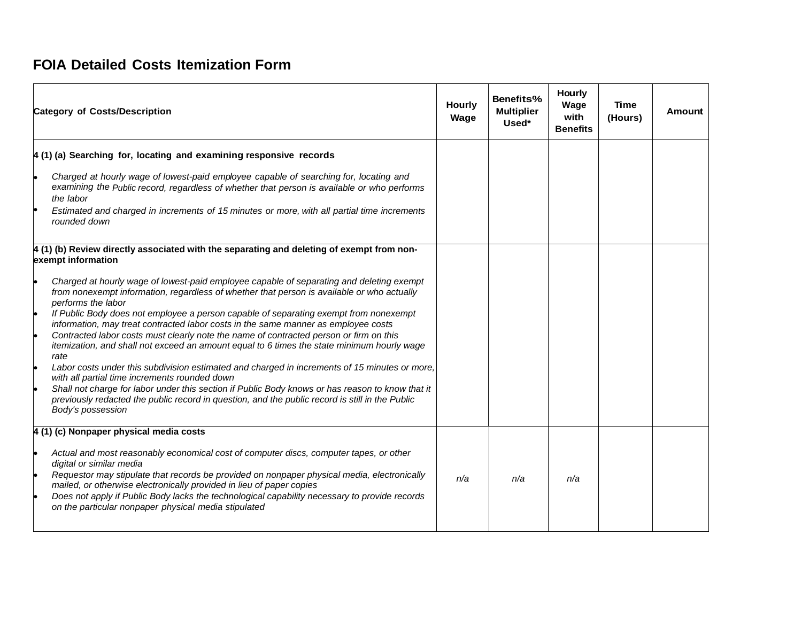## **FOIA Detailed Costs Itemization Form**

| <b>Category of Costs/Description</b>                                                                                                                                                                                     | <b>Hourly</b><br>Wage | Benefits%<br><b>Multiplier</b><br>Used* | <b>Hourly</b><br>Wage<br>with<br><b>Benefits</b> | Time<br>(Hours) | <b>Amount</b> |
|--------------------------------------------------------------------------------------------------------------------------------------------------------------------------------------------------------------------------|-----------------------|-----------------------------------------|--------------------------------------------------|-----------------|---------------|
| $\vert$ 4 (1) (a) Searching for, locating and examining responsive records                                                                                                                                               |                       |                                         |                                                  |                 |               |
| Charged at hourly wage of lowest-paid employee capable of searching for, locating and<br>examining the Public record, regardless of whether that person is available or who performs<br>the labor                        |                       |                                         |                                                  |                 |               |
| Estimated and charged in increments of 15 minutes or more, with all partial time increments<br>rounded down                                                                                                              |                       |                                         |                                                  |                 |               |
| 4 (1) (b) Review directly associated with the separating and deleting of exempt from non-<br>exempt information                                                                                                          |                       |                                         |                                                  |                 |               |
| Charged at hourly wage of lowest-paid employee capable of separating and deleting exempt<br>from nonexempt information, regardless of whether that person is available or who actually<br>performs the labor             |                       |                                         |                                                  |                 |               |
| If Public Body does not employee a person capable of separating exempt from nonexempt<br>le<br>information, may treat contracted labor costs in the same manner as employee costs                                        |                       |                                         |                                                  |                 |               |
| Contracted labor costs must clearly note the name of contracted person or firm on this<br>itemization, and shall not exceed an amount equal to 6 times the state minimum hourly wage<br>rate                             |                       |                                         |                                                  |                 |               |
| l.<br>Labor costs under this subdivision estimated and charged in increments of 15 minutes or more,<br>with all partial time increments rounded down                                                                     |                       |                                         |                                                  |                 |               |
| Shall not charge for labor under this section if Public Body knows or has reason to know that it<br>previously redacted the public record in question, and the public record is still in the Public<br>Body's possession |                       |                                         |                                                  |                 |               |
| 4 (1) (c) Nonpaper physical media costs                                                                                                                                                                                  |                       |                                         |                                                  |                 |               |
| Actual and most reasonably economical cost of computer discs, computer tapes, or other<br>digital or similar media                                                                                                       |                       |                                         |                                                  |                 |               |
| Requestor may stipulate that records be provided on nonpaper physical media, electronically<br>le<br>mailed, or otherwise electronically provided in lieu of paper copies                                                | n/a                   | n/a                                     | n/a                                              |                 |               |
| Does not apply if Public Body lacks the technological capability necessary to provide records<br>on the particular nonpaper physical media stipulated                                                                    |                       |                                         |                                                  |                 |               |